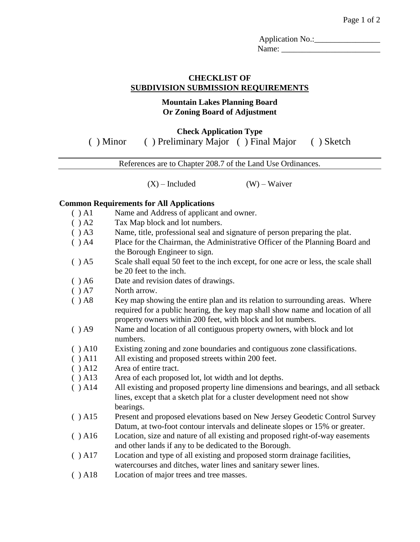Application No.:\_\_\_\_\_\_\_\_\_\_\_\_\_\_\_\_ Name:

### **CHECKLIST OF SUBDIVISION SUBMISSION REQUIREMENTS**

### **Mountain Lakes Planning Board Or Zoning Board of Adjustment**

## **Check Application Type** ( ) Minor ( ) Preliminary Major ( ) Final Major ( ) Sketch

References are to Chapter 208.7 of the Land Use Ordinances.

 $(X)$  – Included (W) – Waiver

### **Common Requirements for All Applications**

- ( ) A1 Name and Address of applicant and owner.
- ( ) A2 Tax Map block and lot numbers.
- ( ) A3 Name, title, professional seal and signature of person preparing the plat.
- ( ) A4 Place for the Chairman, the Administrative Officer of the Planning Board and the Borough Engineer to sign.
- ( ) A5 Scale shall equal 50 feet to the inch except, for one acre or less, the scale shall be 20 feet to the inch.
- ( ) A6 Date and revision dates of drawings.
- ( ) A7 North arrow.
- (a) A8 Key map showing the entire plan and its relation to surrounding areas. Where required for a public hearing, the key map shall show name and location of all property owners within 200 feet, with block and lot numbers.
- ( ) A9 Name and location of all contiguous property owners, with block and lot numbers.
- ( ) A10 Existing zoning and zone boundaries and contiguous zone classifications.
- ( ) A11 All existing and proposed streets within 200 feet.
- ( ) A12 Area of entire tract.
- ( ) A13 Area of each proposed lot, lot width and lot depths.
- ( ) A14 All existing and proposed property line dimensions and bearings, and all setback lines, except that a sketch plat for a cluster development need not show bearings.
- ( ) A15 Present and proposed elevations based on New Jersey Geodetic Control Survey Datum, at two-foot contour intervals and delineate slopes or 15% or greater.
- ( ) A16 Location, size and nature of all existing and proposed right-of-way easements and other lands if any to be dedicated to the Borough.
- ( ) A17 Location and type of all existing and proposed storm drainage facilities, watercourses and ditches, water lines and sanitary sewer lines.
- ( ) A18 Location of major trees and tree masses.